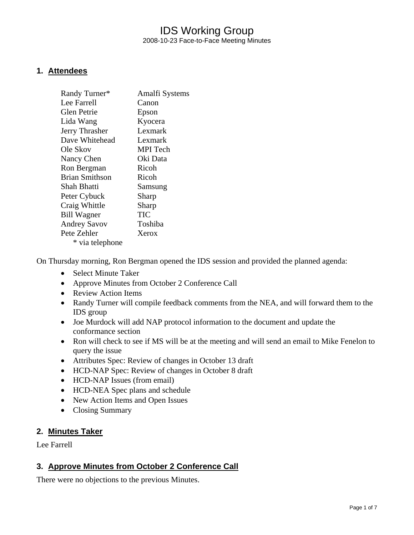## IDS Working Group 2008-10-23 Face-to-Face Meeting Minutes

#### **1. Attendees**

| Randy Turner*         | Amalfi Systems  |
|-----------------------|-----------------|
| Lee Farrell           | Canon           |
| Glen Petrie           | Epson           |
| Lida Wang             | Kyocera         |
| Jerry Thrasher        | Lexmark         |
| Dave Whitehead        | Lexmark         |
| Ole Skov              | <b>MPI</b> Tech |
| Nancy Chen            | Oki Data        |
| Ron Bergman           | Ricoh           |
| <b>Brian Smithson</b> | Ricoh           |
| Shah Bhatti           | Samsung         |
| Peter Cybuck          | Sharp           |
| Craig Whittle         | Sharp           |
| <b>Bill Wagner</b>    | TIC             |
| <b>Andrey Savov</b>   | Toshiba         |
| Pete Zehler           | Xerox           |
| * via telephone       |                 |

On Thursday morning, Ron Bergman opened the IDS session and provided the planned agenda:

- Select Minute Taker
- Approve Minutes from October 2 Conference Call
- Review Action Items
- Randy Turner will compile feedback comments from the NEA, and will forward them to the IDS group
- Joe Murdock will add NAP protocol information to the document and update the conformance section
- Ron will check to see if MS will be at the meeting and will send an email to Mike Fenelon to query the issue
- Attributes Spec: Review of changes in October 13 draft
- HCD-NAP Spec: Review of changes in October 8 draft
- HCD-NAP Issues (from email)
- HCD-NEA Spec plans and schedule
- New Action Items and Open Issues
- Closing Summary

#### **2. Minutes Taker**

Lee Farrell

#### **3. Approve Minutes from October 2 Conference Call**

There were no objections to the previous Minutes.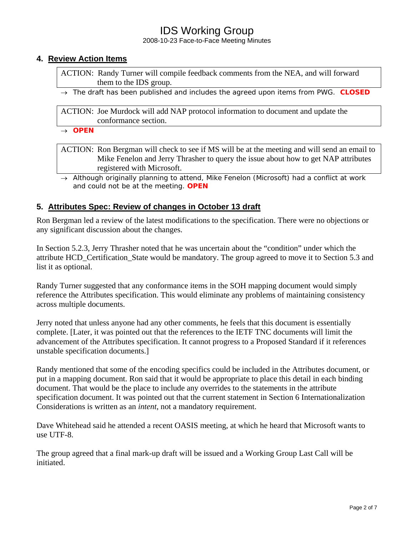2008-10-23 Face-to-Face Meeting Minutes

#### **4. Review Action Items**

ACTION: Randy Turner will compile feedback comments from the NEA, and will forward them to the IDS group.

→ *The draft has been published and includes the agreed upon items from PWG. CLOSED* 

ACTION: Joe Murdock will add NAP protocol information to document and update the conformance section.

→ *OPEN* 

#### ACTION: Ron Bergman will check to see if MS will be at the meeting and will send an email to Mike Fenelon and Jerry Thrasher to query the issue about how to get NAP attributes registered with Microsoft.

→ *Although originally planning to attend, Mike Fenelon (Microsoft) had a conflict at work and could not be at the meeting. OPEN* 

#### **5. Attributes Spec: Review of changes in October 13 draft**

Ron Bergman led a review of the latest modifications to the specification. There were no objections or any significant discussion about the changes.

In Section 5.2.3, Jerry Thrasher noted that he was uncertain about the "condition" under which the attribute HCD\_Certification\_State would be mandatory. The group agreed to move it to Section 5.3 and list it as optional.

Randy Turner suggested that any conformance items in the SOH mapping document would simply reference the Attributes specification. This would eliminate any problems of maintaining consistency across multiple documents.

Jerry noted that unless anyone had any other comments, he feels that this document is essentially complete. [Later, it was pointed out that the references to the IETF TNC documents will limit the advancement of the Attributes specification. It cannot progress to a Proposed Standard if it references unstable specification documents.]

Randy mentioned that some of the encoding specifics could be included in the Attributes document, or put in a mapping document. Ron said that it would be appropriate to place this detail in each binding document. That would be the place to include any overrides to the statements in the attribute specification document. It was pointed out that the current statement in Section 6 Internationalization Considerations is written as an *intent*, not a mandatory requirement.

Dave Whitehead said he attended a recent OASIS meeting, at which he heard that Microsoft wants to use UTF-8.

The group agreed that a final mark-up draft will be issued and a Working Group Last Call will be initiated.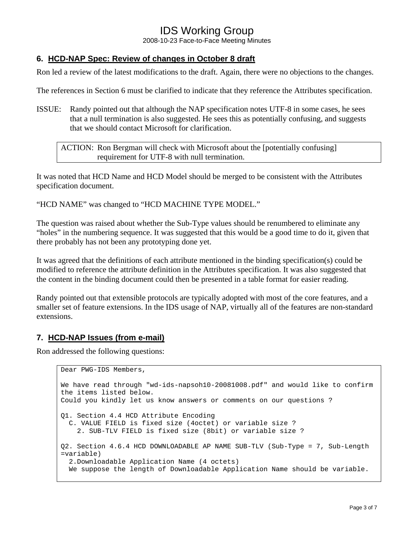2008-10-23 Face-to-Face Meeting Minutes

### **6. HCD-NAP Spec: Review of changes in October 8 draft**

Ron led a review of the latest modifications to the draft. Again, there were no objections to the changes.

The references in Section 6 must be clarified to indicate that they reference the Attributes specification.

ISSUE: Randy pointed out that although the NAP specification notes UTF-8 in some cases, he sees that a null termination is also suggested. He sees this as potentially confusing, and suggests that we should contact Microsoft for clarification.

ACTION: Ron Bergman will check with Microsoft about the [potentially confusing] requirement for UTF-8 with null termination.

It was noted that HCD Name and HCD Model should be merged to be consistent with the Attributes specification document.

"HCD NAME" was changed to "HCD MACHINE TYPE MODEL."

The question was raised about whether the Sub-Type values should be renumbered to eliminate any "holes" in the numbering sequence. It was suggested that this would be a good time to do it, given that there probably has not been any prototyping done yet.

It was agreed that the definitions of each attribute mentioned in the binding specification(s) could be modified to reference the attribute definition in the Attributes specification. It was also suggested that the content in the binding document could then be presented in a table format for easier reading.

Randy pointed out that extensible protocols are typically adopted with most of the core features, and a smaller set of feature extensions. In the IDS usage of NAP, virtually all of the features are non-standard extensions.

#### **7. HCD-NAP Issues (from e-mail)**

Ron addressed the following questions:

```
Dear PWG-IDS Members, 
We have read through "wd-ids-napsoh10-20081008.pdf" and would like to confirm 
the items listed below. 
Could you kindly let us know answers or comments on our questions ? 
Q1. Section 4.4 HCD Attribute Encoding 
  C. VALUE FIELD is fixed size (4octet) or variable size ? 
     2. SUB-TLV FIELD is fixed size (8bit) or variable size ? 
Q2. Section 4.6.4 HCD DOWNLOADABLE AP NAME SUB-TLV (Sub-Type = 7, Sub-Length 
=variable) 
   2.Downloadable Application Name (4 octets) 
  We suppose the length of Downloadable Application Name should be variable.
```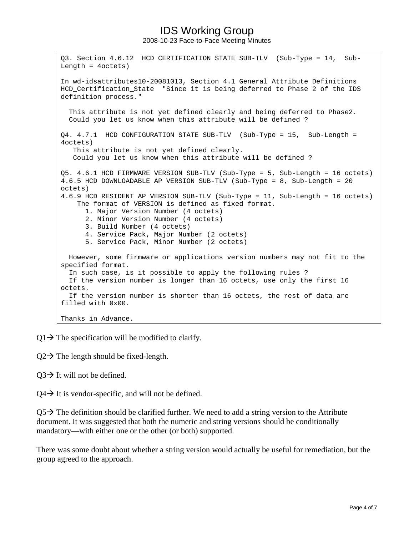2008-10-23 Face-to-Face Meeting Minutes

Q3. Section 4.6.12 HCD CERTIFICATION STATE SUB-TLV (Sub-Type = 14, Sub-Length = 4octets) In wd-idsattributes10-20081013, Section 4.1 General Attribute Definitions HCD Certification State "Since it is being deferred to Phase 2 of the IDS definition process." This attribute is not yet defined clearly and being deferred to Phase2. Could you let us know when this attribute will be defined ? Q4. 4.7.1 HCD CONFIGURATION STATE SUB-TLV (Sub-Type = 15, Sub-Length = 4octets) This attribute is not yet defined clearly. Could you let us know when this attribute will be defined ? Q5. 4.6.1 HCD FIRMWARE VERSION SUB-TLV (Sub-Type = 5, Sub-Length = 16 octets) 4.6.5 HCD DOWNLOADABLE AP VERSION SUB-TLV (Sub-Type = 8, Sub-Length = 20 octets) 4.6.9 HCD RESIDENT AP VERSION SUB-TLV (Sub-Type = 11, Sub-Length = 16 octets) The format of VERSION is defined as fixed format. 1. Major Version Number (4 octets) 2. Minor Version Number (4 octets) 3. Build Number (4 octets) 4. Service Pack, Major Number (2 octets) 5. Service Pack, Minor Number (2 octets) However, some firmware or applications version numbers may not fit to the specified format. In such case, is it possible to apply the following rules ? If the version number is longer than 16 octets, use only the first 16 octets. If the version number is shorter than 16 octets, the rest of data are filled with 0x00. Thanks in Advance.

 $Q1 \rightarrow$  The specification will be modified to clarify.

 $Q2 \rightarrow$  The length should be fixed-length.

 $Q3 \rightarrow$  It will not be defined.

 $Q4 \rightarrow$  It is vendor-specific, and will not be defined.

 $Q5\rightarrow$  The definition should be clarified further. We need to add a string version to the Attribute document. It was suggested that both the numeric and string versions should be conditionally mandatory—with either one or the other (or both) supported.

There was some doubt about whether a string version would actually be useful for remediation, but the group agreed to the approach.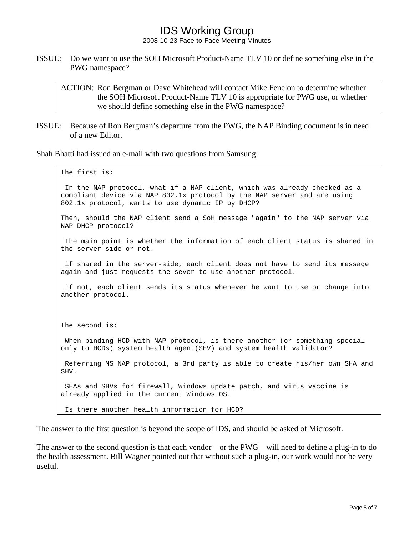2008-10-23 Face-to-Face Meeting Minutes

ISSUE: Do we want to use the SOH Microsoft Product-Name TLV 10 or define something else in the PWG namespace?

ACTION: Ron Bergman or Dave Whitehead will contact Mike Fenelon to determine whether the SOH Microsoft Product-Name TLV 10 is appropriate for PWG use, or whether we should define something else in the PWG namespace?

ISSUE: Because of Ron Bergman's departure from the PWG, the NAP Binding document is in need of a new Editor.

Shah Bhatti had issued an e-mail with two questions from Samsung:

```
The first is: 
 In the NAP protocol, what if a NAP client, which was already checked as a 
compliant device via NAP 802.1x protocol by the NAP server and are using 
802.1x protocol, wants to use dynamic IP by DHCP? 
Then, should the NAP client send a SoH message "again" to the NAP server via 
NAP DHCP protocol? 
 The main point is whether the information of each client status is shared in 
the server-side or not. 
  if shared in the server-side, each client does not have to send its message 
again and just requests the sever to use another protocol. 
 if not, each client sends its status whenever he want to use or change into 
another protocol. 
The second is: 
 When binding HCD with NAP protocol, is there another (or something special 
only to HCDs) system health agent(SHV) and system health validator? 
 Referring MS NAP protocol, a 3rd party is able to create his/her own SHA and 
SHV. 
  SHAs and SHVs for firewall, Windows update patch, and virus vaccine is 
already applied in the current Windows OS. 
  Is there another health information for HCD?
```
The answer to the first question is beyond the scope of IDS, and should be asked of Microsoft.

The answer to the second question is that each vendor—or the PWG—will need to define a plug-in to do the health assessment. Bill Wagner pointed out that without such a plug-in, our work would not be very useful.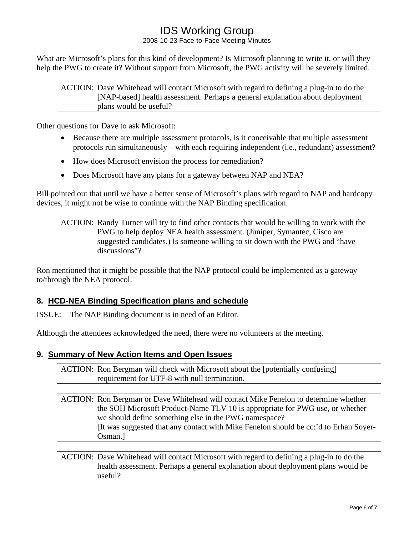2008-10-23 Face-to-Face Meeting Minutes

What are Microsoft's plans for this kind of development? Is Microsoft planning to write it, or will they help the PWG to create it? Without support from Microsoft, the PWG activity will be severely limited.

ACTION: Dave Whitehead will contact Microsoft with regard to defining a plug-in to do the [NAP-based] health assessment. Perhaps a general explanation about deployment plans would be useful?

Other questions for Dave to ask Microsoft:

- Because there are multiple assessment protocols, is it conceivable that multiple assessment protocols run simultaneously—with each requiring independent (i.e., redundant) assessment?
- How does Microsoft envision the process for remediation?
- Does Microsoft have any plans for a gateway between NAP and NEA?

Bill pointed out that until we have a better sense of Microsoft's plans with regard to NAP and hardcopy devices, it might not be wise to continue with the NAP Binding specification.

ACTION: Randy Turner will try to find other contacts that would be willing to work with the PWG to help deploy NEA health assessment. (Juniper, Symantec, Cisco are suggested candidates.) Is someone willing to sit down with the PWG and "have discussions"?

Ron mentioned that it might be possible that the NAP protocol could be implemented as a gateway to/through the NEA protocol.

### **8. HCD-NEA Binding Specification plans and schedule**

ISSUE: The NAP Binding document is in need of an Editor.

Although the attendees acknowledged the need, there were no volunteers at the meeting.

#### **9. Summary of New Action Items and Open Issues**

ACTION: Ron Bergman will check with Microsoft about the [potentially confusing] requirement for UTF-8 with null termination.

#### ACTION: Ron Bergman or Dave Whitehead will contact Mike Fenelon to determine whether the SOH Microsoft Product-Name TLV 10 is appropriate for PWG use, or whether we should define something else in the PWG namespace? [It was suggested that any contact with Mike Fenelon should be cc:'d to Erhan Soyer-Osman.]

ACTION: Dave Whitehead will contact Microsoft with regard to defining a plug-in to do the health assessment. Perhaps a general explanation about deployment plans would be useful?